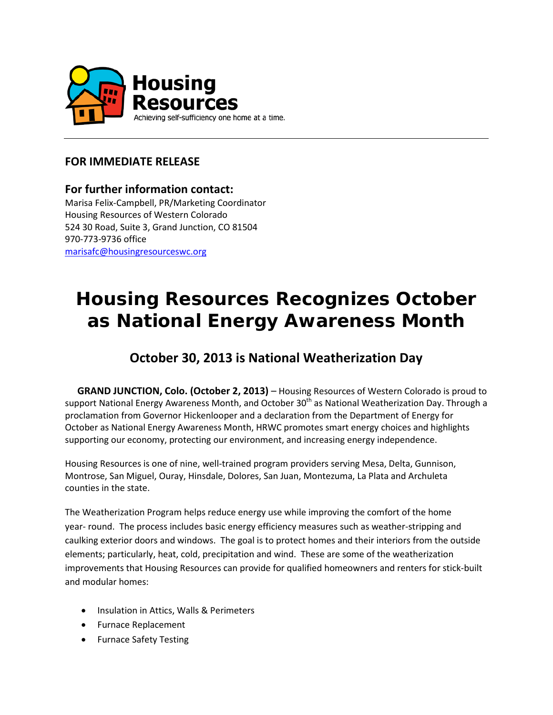

## **FOR IMMEDIATE RELEASE**

### **For further information contact:**

Marisa Felix-Campbell, PR/Marketing Coordinator Housing Resources of Western Colorado 524 30 Road, Suite 3, Grand Junction, CO 81504 970-773-9736 office [marisafc@housingresourceswc.org](mailto:eldonk@housingresourceswc.org)

# **Housing Resources Recognizes October as National Energy Awareness Month**

# **October 30, 2013 is National Weatherization Day**

**GRAND JUNCTION, Colo. (October 2, 2013)** – Housing Resources of Western Colorado is proud to support National Energy Awareness Month, and October 30<sup>th</sup> as National Weatherization Day. Through a proclamation from Governor Hickenlooper and a declaration from the Department of Energy for October as National Energy Awareness Month, HRWC promotes smart energy choices and highlights supporting our economy, protecting our environment, and increasing energy independence.

Housing Resources is one of nine, well-trained program providers serving Mesa, Delta, Gunnison, Montrose, San Miguel, Ouray, Hinsdale, Dolores, San Juan, Montezuma, La Plata and Archuleta counties in the state.

The Weatherization Program helps reduce energy use while improving the comfort of the home year- round. The process includes basic energy efficiency measures such as weather-stripping and caulking exterior doors and windows. The goal is to protect homes and their interiors from the outside elements; particularly, heat, cold, precipitation and wind. These are some of the weatherization improvements that Housing Resources can provide for qualified homeowners and renters for stick-built and modular homes:

- Insulation in Attics, Walls & Perimeters
- Furnace Replacement
- Furnace Safety Testing